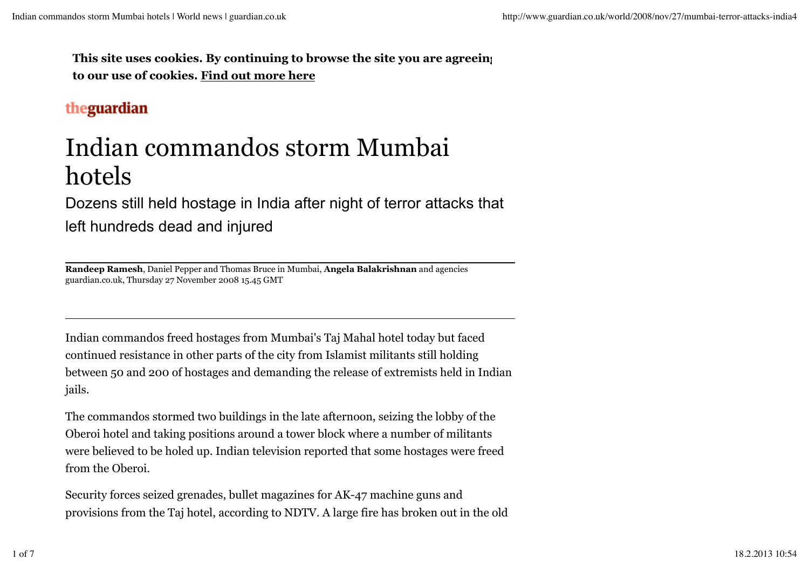**This site uses cookies. By continuing to browse the site you are agreeing to our use of cookies. Find out more here**

## theguardian

## Indian commandos storm Mumbai hotels

## Dozens still held hostage in India after night of terror attacks that left hundreds dead and injured

**Randeep Ramesh**, Daniel Pepper and Thomas Bruce in Mumbai, **Angela Balakrishnan** and agencies guardian.co.uk, Thursday 27 November 2008 15.45 GMT

Indian commandos freed hostages from Mumbai's Taj Mahal hotel today but faced continued resistance in other parts of the city from Islamist militants still holding between 50 and 200 of hostages and demanding the release of extremists held in Indian jails.

The commandos stormed two buildings in the late afternoon, seizing the lobby of the Oberoi hotel and taking positions around a tower block where a number of militants were believed to be holed up. Indian television reported that some hostages were freed from the Oberoi.

Security forces seized grenades, bullet magazines for AK-47 machine guns and provisions from the Taj hotel, according to NDTV. A large fire has broken out in the old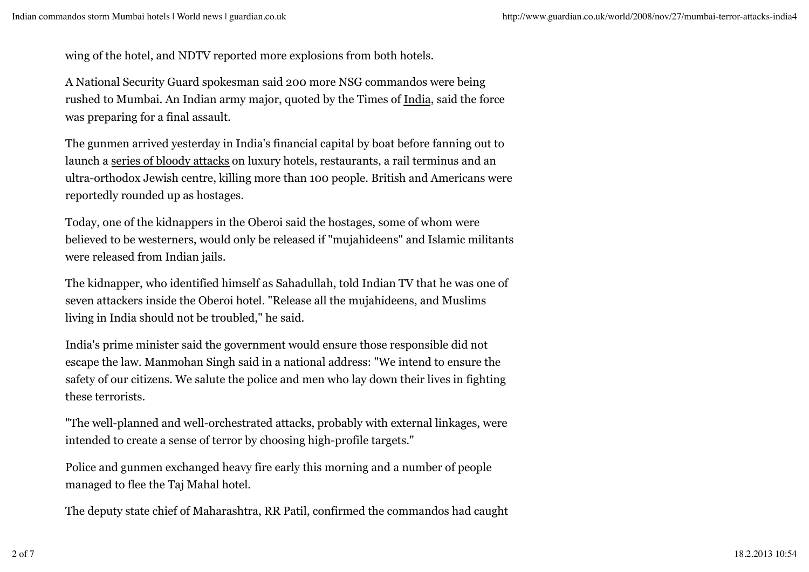wing of the hotel, and NDTV reported more explosions from both hotels.

A National Security Guard spokesman said 200 more NSG commandos were being rushed to Mumbai. An Indian army major, quoted by the Times of India, said the force was preparing for a final assault.

The gunmen arrived yesterday in India's financial capital by boat before fanning out to launch a series of bloody attacks on luxury hotels, restaurants, a rail terminus and an ultra-orthodox Jewish centre, killing more than 100 people. British and Americans were reportedly rounded up as hostages.

Today, one of the kidnappers in the Oberoi said the hostages, some of whom were believed to be westerners, would only be released if "mujahideens" and Islamic militants were released from Indian jails.

The kidnapper, who identified himself as Sahadullah, told Indian TV that he was one of seven attackers inside the Oberoi hotel. "Release all the mujahideens, and Muslims living in India should not be troubled," he said.

India's prime minister said the government would ensure those responsible did not escape the law. Manmohan Singh said in a national address: "We intend to ensure the safety of our citizens. We salute the police and men who lay down their lives in fighting these terrorists.

"The well-planned and well-orchestrated attacks, probably with external linkages, were intended to create a sense of terror by choosing high-profile targets."

Police and gunmen exchanged heavy fire early this morning and a number of people managed to flee the Taj Mahal hotel.

The deputy state chief of Maharashtra, RR Patil, confirmed the commandos had caught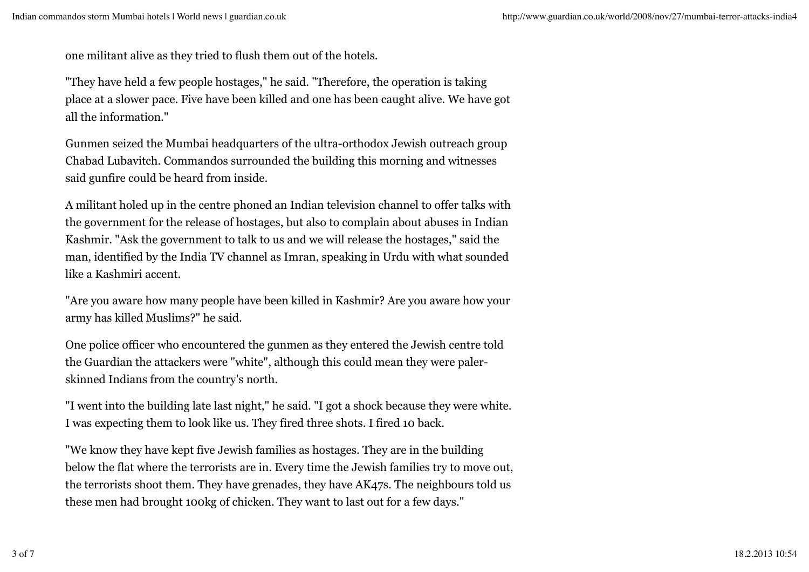one militant alive as they tried to flush them out of the hotels.

"They have held a few people hostages," he said. "Therefore, the operation is taking place at a slower pace. Five have been killed and one has been caught alive. We have got all the information."

Gunmen seized the Mumbai headquarters of the ultra-orthodox Jewish outreach group Chabad Lubavitch. Commandos surrounded the building this morning and witnesses said gunfire could be heard from inside.

A militant holed up in the centre phoned an Indian television channel to offer talks with the government for the release of hostages, but also to complain about abuses in Indian Kashmir. "Ask the government to talk to us and we will release the hostages," said the man, identified by the India TV channel as Imran, speaking in Urdu with what sounded like a Kashmiri accent.

"Are you aware how many people have been killed in Kashmir? Are you aware how your army has killed Muslims?" he said.

One police officer who encountered the gunmen as they entered the Jewish centre told the Guardian the attackers were "white", although this could mean they were palerskinned Indians from the country's north.

"I went into the building late last night," he said. "I got a shock because they were white. I was expecting them to look like us. They fired three shots. I fired 10 back.

"We know they have kept five Jewish families as hostages. They are in the building below the flat where the terrorists are in. Every time the Jewish families try to move out, the terrorists shoot them. They have grenades, they have AK47s. The neighbours told us these men had brought 100kg of chicken. They want to last out for a few days."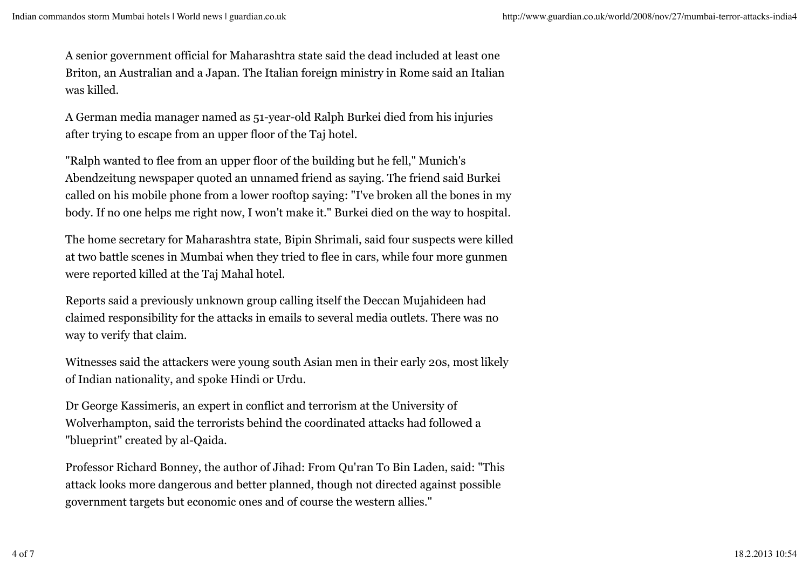A senior government official for Maharashtra state said the dead included at least one Briton, an Australian and a Japan. The Italian foreign ministry in Rome said an Italian was killed.

A German media manager named as 51-year-old Ralph Burkei died from his injuries after trying to escape from an upper floor of the Taj hotel.

"Ralph wanted to flee from an upper floor of the building but he fell," Munich's Abendzeitung newspaper quoted an unnamed friend as saying. The friend said Burkei called on his mobile phone from a lower rooftop saying: "I've broken all the bones in my body. If no one helps me right now, I won't make it." Burkei died on the way to hospital.

The home secretary for Maharashtra state, Bipin Shrimali, said four suspects were killed at two battle scenes in Mumbai when they tried to flee in cars, while four more gunmen were reported killed at the Taj Mahal hotel.

Reports said a previously unknown group calling itself the Deccan Mujahideen had claimed responsibility for the attacks in emails to several media outlets. There was no way to verify that claim.

Witnesses said the attackers were young south Asian men in their early 20s, most likely of Indian nationality, and spoke Hindi or Urdu.

Dr George Kassimeris, an expert in conflict and terrorism at the University of Wolverhampton, said the terrorists behind the coordinated attacks had followed a "blueprint" created by al-Qaida.

Professor Richard Bonney, the author of Jihad: From Qu'ran To Bin Laden, said: "This attack looks more dangerous and better planned, though not directed against possible government targets but economic ones and of course the western allies."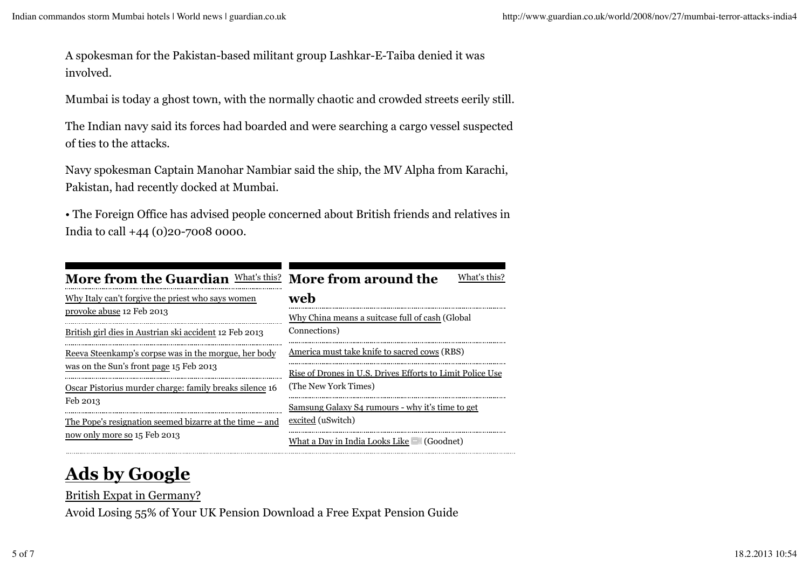A spokesman for the Pakistan-based militant group Lashkar-E-Taiba denied it was involved.

Mumbai is today a ghost town, with the normally chaotic and crowded streets eerily still.

The Indian navy said its forces had boarded and were searching a cargo vessel suspected of ties to the attacks.

Navy spokesman Captain Manohar Nambiar said the ship, the MV Alpha from Karachi, Pakistan, had recently docked at Mumbai.

• The Foreign Office has advised people concerned about British friends and relatives in India to call +44 (0)20-7008 0000.

| <b>More from the Guardian What's this?</b>                | What's this?<br>More from around the                      |
|-----------------------------------------------------------|-----------------------------------------------------------|
| Why Italy can't forgive the priest who says women         | weh                                                       |
| provoke abuse 12 Feb 2013                                 | Why China means a suitcase full of cash (Global           |
| British girl dies in Austrian ski accident 12 Feb 2013    | Connections)                                              |
| Reeva Steenkamp's corpse was in the morgue, her body      | America must take knife to sacred cows (RBS)              |
| was on the Sun's front page 15 Feb 2013                   | Rise of Drones in U.S. Drives Efforts to Limit Police Use |
| Oscar Pistorius murder charge: family breaks silence 16   | (The New York Times)                                      |
| Feb 2013                                                  | Samsung Galaxy S4 rumours - why it's time to get          |
| The Pope's resignation seemed bizarre at the time $-$ and | excited (uSwitch)                                         |
| now only more so 15 Feb 2013                              | What a Day in India Looks Like = [Goodnet]                |

## **Ads by Google**

British Expat in Germany?

Avoid Losing 55% of Your UK Pension Download a Free Expat Pension Guide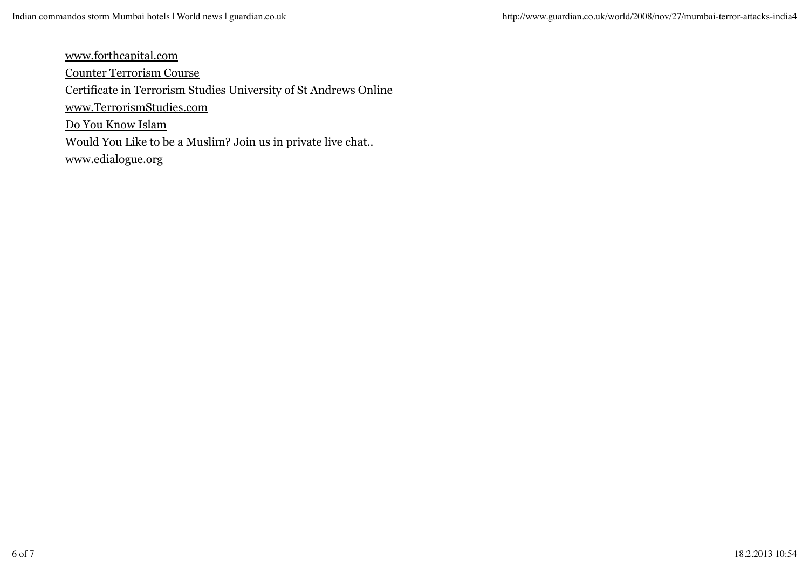www.forthcapital.com Counter Terrorism Course Certificate in Terrorism Studies University of St Andrews Online www.TerrorismStudies.com Do You Know Islam Would You Like to be a Muslim? Join us in private live chat.. www.edialogue.org